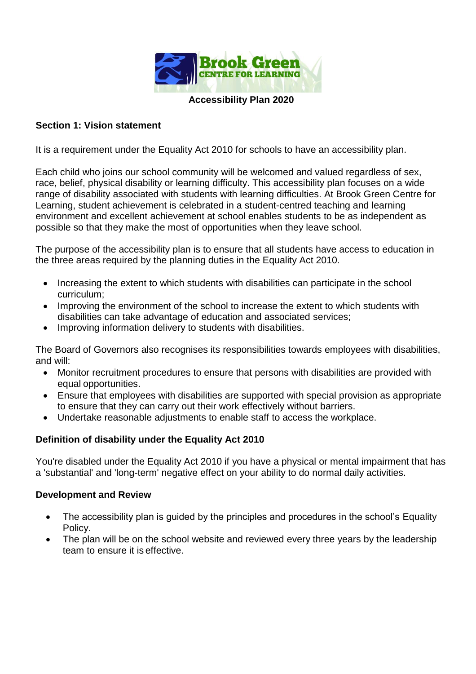

#### **Accessibility Plan 2020**

# **Section 1: Vision statement**

It is a requirement under the Equality Act 2010 for schools to have an accessibility plan.

Each child who joins our school community will be welcomed and valued regardless of sex, race, belief, physical disability or learning difficulty. This accessibility plan focuses on a wide range of disability associated with students with learning difficulties. At Brook Green Centre for Learning, student achievement is celebrated in a student-centred teaching and learning environment and excellent achievement at school enables students to be as independent as possible so that they make the most of opportunities when they leave school.

The purpose of the accessibility plan is to ensure that all students have access to education in the three areas required by the planning duties in the Equality Act 2010.

- Increasing the extent to which students with disabilities can participate in the school curriculum;
- Improving the environment of the school to increase the extent to which students with disabilities can take advantage of education and associated services;
- Improving information delivery to students with disabilities.

The Board of Governors also recognises its responsibilities towards employees with disabilities, and will:

- Monitor recruitment procedures to ensure that persons with disabilities are provided with equal opportunities.
- Ensure that employees with disabilities are supported with special provision as appropriate to ensure that they can carry out their work effectively without barriers.
- Undertake reasonable adjustments to enable staff to access the workplace.

# **Definition of disability under the Equality Act 2010**

You're disabled under the Equality Act 2010 if you have a physical or mental impairment that has a 'substantial' and 'long-term' negative effect on your ability to do normal daily activities.

### **Development and Review**

- The accessibility plan is guided by the principles and procedures in the school's Equality Policy.
- The plan will be on the school website and reviewed every three years by the leadership team to ensure it is effective.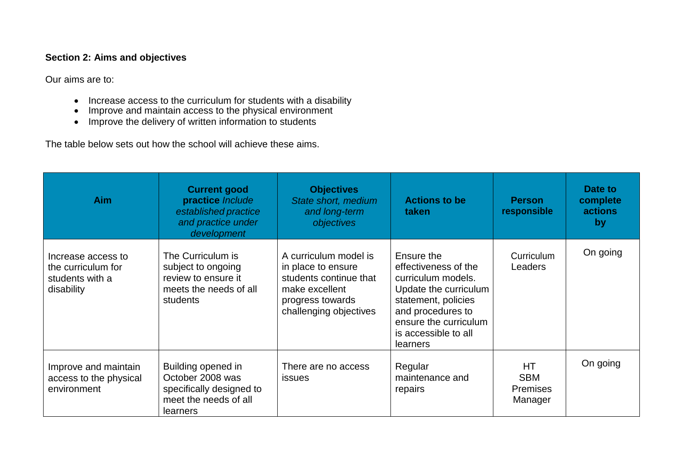# **Section 2: Aims and objectives**

Our aims are to:

- Increase access to the curriculum for students with a disability
- Improve and maintain access to the physical environment
- Improve the delivery of written information to students

The table below sets out how the school will achieve these aims.

| <b>Aim</b>                                                                | <b>Current good</b><br>practice Include<br>established practice<br>and practice under<br>development    | <b>Objectives</b><br>State short, medium<br>and long-term<br>objectives                                                               | <b>Actions to be</b><br>taken                                                                                                                                                                     | <b>Person</b><br>responsible                          | Date to<br>complete<br><b>actions</b><br>by |
|---------------------------------------------------------------------------|---------------------------------------------------------------------------------------------------------|---------------------------------------------------------------------------------------------------------------------------------------|---------------------------------------------------------------------------------------------------------------------------------------------------------------------------------------------------|-------------------------------------------------------|---------------------------------------------|
| Increase access to<br>the curriculum for<br>students with a<br>disability | The Curriculum is<br>subject to ongoing<br>review to ensure it<br>meets the needs of all<br>students    | A curriculum model is<br>in place to ensure<br>students continue that<br>make excellent<br>progress towards<br>challenging objectives | Ensure the<br>effectiveness of the<br>curriculum models.<br>Update the curriculum<br>statement, policies<br>and procedures to<br>ensure the curriculum<br>is accessible to all<br><b>learners</b> | Curriculum<br>Leaders                                 | On going                                    |
| Improve and maintain<br>access to the physical<br>environment             | Building opened in<br>October 2008 was<br>specifically designed to<br>meet the needs of all<br>learners | There are no access<br><b>issues</b>                                                                                                  | Regular<br>maintenance and<br>repairs                                                                                                                                                             | <b>HT</b><br><b>SBM</b><br><b>Premises</b><br>Manager | On going                                    |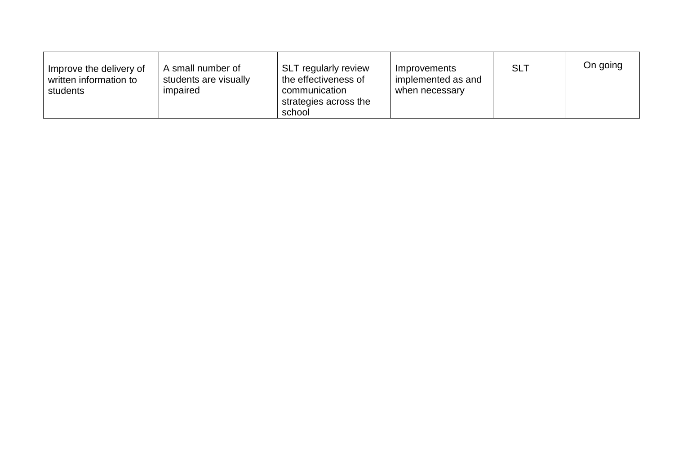| A small number of<br>Improve the delivery of<br>students are visually<br>written information to<br>impaired<br>students | <b>SLT</b> regularly review<br>the effectiveness of<br>communication<br>strategies across the<br>school | Improvements<br>implemented as and<br>when necessary | <b>SLT</b> | On going |
|-------------------------------------------------------------------------------------------------------------------------|---------------------------------------------------------------------------------------------------------|------------------------------------------------------|------------|----------|
|-------------------------------------------------------------------------------------------------------------------------|---------------------------------------------------------------------------------------------------------|------------------------------------------------------|------------|----------|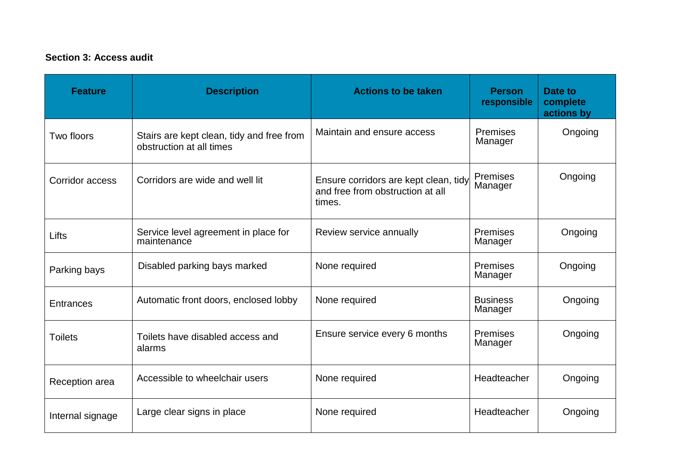# **Section 3: Access audit**

| <b>Feature</b>   | <b>Description</b>                                                    | <b>Actions to be taken</b>                                                          | <b>Person</b><br>responsible | Date to<br>complete<br>actions by |
|------------------|-----------------------------------------------------------------------|-------------------------------------------------------------------------------------|------------------------------|-----------------------------------|
| Two floors       | Stairs are kept clean, tidy and free from<br>obstruction at all times | Maintain and ensure access                                                          | <b>Premises</b><br>Manager   | Ongoing                           |
| Corridor access  | Corridors are wide and well lit                                       | Ensure corridors are kept clean, tidy<br>and free from obstruction at all<br>times. | <b>Premises</b><br>Manager   | Ongoing                           |
| Lifts            | Service level agreement in place for<br>maintenance                   | Review service annually                                                             | <b>Premises</b><br>Manager   | Ongoing                           |
| Parking bays     | Disabled parking bays marked                                          | None required                                                                       | <b>Premises</b><br>Manager   | Ongoing                           |
| <b>Entrances</b> | Automatic front doors, enclosed lobby                                 | None required                                                                       | <b>Business</b><br>Manager   | Ongoing                           |
| <b>Toilets</b>   | Toilets have disabled access and<br>alarms                            | Ensure service every 6 months                                                       | Premises<br>Manager          | Ongoing                           |
| Reception area   | Accessible to wheelchair users                                        | None required                                                                       | Headteacher                  | Ongoing                           |
| Internal signage | Large clear signs in place                                            | None required                                                                       | Headteacher                  | Ongoing                           |